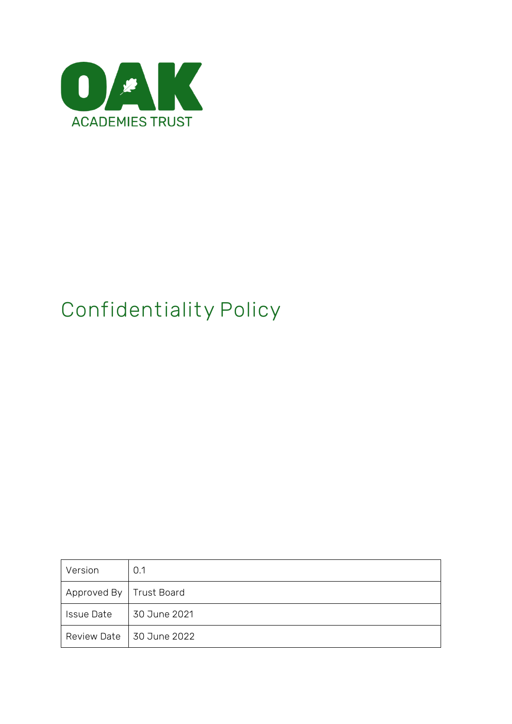

# **Confidentiality Policy**

| Version                   | 0.1                        |
|---------------------------|----------------------------|
| Approved By   Trust Board |                            |
| <b>Issue Date</b>         | 30 June 2021               |
|                           | Review Date   30 June 2022 |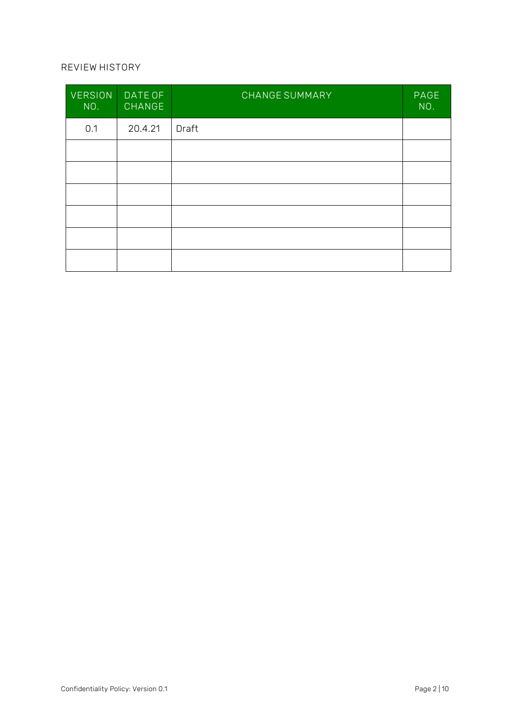#### **REVIEW HISTORY**

| <b>VERSION</b><br>NO. | DATE OF<br><b>CHANGE</b> | <b>CHANGE SUMMARY</b> | PAGE<br>NO. |
|-----------------------|--------------------------|-----------------------|-------------|
| 0.1                   | 20.4.21                  | Draft                 |             |
|                       |                          |                       |             |
|                       |                          |                       |             |
|                       |                          |                       |             |
|                       |                          |                       |             |
|                       |                          |                       |             |
|                       |                          |                       |             |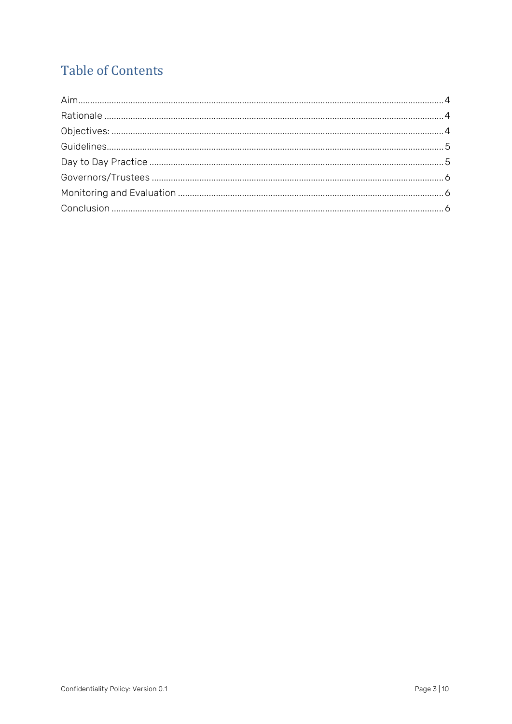# **Table of Contents**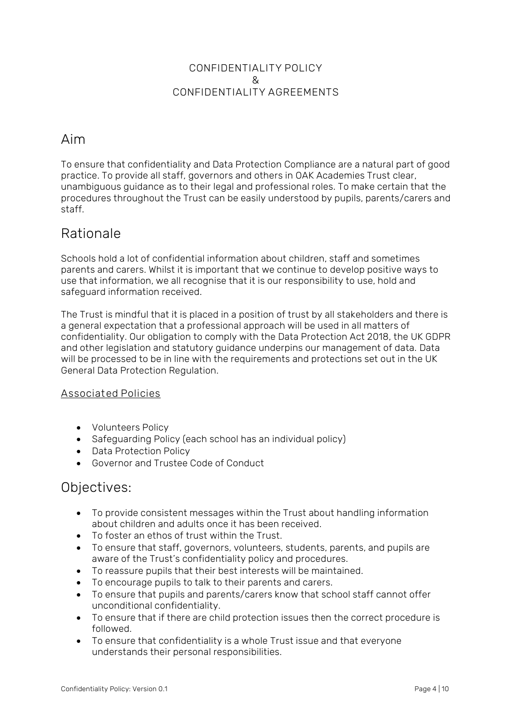#### **CONFIDENTIALITY POLICY & CONFIDENTIALITY AGREEMENTS**

## <span id="page-3-0"></span>Aim

To ensure that confidentiality and Data Protection Compliance are a natural part of good practice. To provide all staff, governors and others in OAK Academies Trust clear, unambiguous guidance as to their legal and professional roles. To make certain that the procedures throughout the Trust can be easily understood by pupils, parents/carers and staff.

## <span id="page-3-1"></span>Rationale

Schools hold a lot of confidential information about children, staff and sometimes parents and carers. Whilst it is important that we continue to develop positive ways to use that information, we all recognise that it is our responsibility to use, hold and safeguard information received.

The Trust is mindful that it is placed in a position of trust by all stakeholders and there is a general expectation that a professional approach will be used in all matters of confidentiality. Our obligation to comply with the Data Protection Act 2018, the UK GDPR and other legislation and statutory guidance underpins our management of data. Data will be processed to be in line with the requirements and protections set out in the UK General Data Protection Regulation.

#### **Associated Policies**

- Volunteers Policy
- Safeguarding Policy (each school has an individual policy)
- Data Protection Policy
- Governor and Trustee Code of Conduct

## <span id="page-3-2"></span>Objectives:

- To provide consistent messages within the Trust about handling information about children and adults once it has been received.
- To foster an ethos of trust within the Trust.
- To ensure that staff, governors, volunteers, students, parents, and pupils are aware of the Trust's confidentiality policy and procedures.
- To reassure pupils that their best interests will be maintained.
- To encourage pupils to talk to their parents and carers.
- To ensure that pupils and parents/carers know that school staff cannot offer unconditional confidentiality.
- To ensure that if there are child protection issues then the correct procedure is followed.
- To ensure that confidentiality is a whole Trust issue and that everyone understands their personal responsibilities.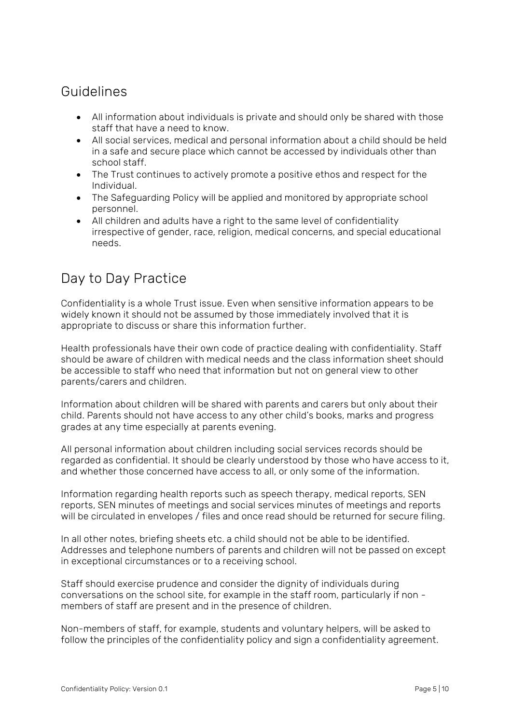## <span id="page-4-0"></span>Guidelines

- All information about individuals is private and should only be shared with those staff that have a need to know.
- All social services, medical and personal information about a child should be held in a safe and secure place which cannot be accessed by individuals other than school staff.
- The Trust continues to actively promote a positive ethos and respect for the Individual.
- The Safeguarding Policy will be applied and monitored by appropriate school personnel.
- All children and adults have a right to the same level of confidentiality irrespective of gender, race, religion, medical concerns, and special educational needs.

# <span id="page-4-1"></span>Day to Day Practice

Confidentiality is a whole Trust issue. Even when sensitive information appears to be widely known it should not be assumed by those immediately involved that it is appropriate to discuss or share this information further.

Health professionals have their own code of practice dealing with confidentiality. Staff should be aware of children with medical needs and the class information sheet should be accessible to staff who need that information but not on general view to other parents/carers and children.

Information about children will be shared with parents and carers but only about their child. Parents should not have access to any other child's books, marks and progress grades at any time especially at parents evening.

All personal information about children including social services records should be regarded as confidential. It should be clearly understood by those who have access to it, and whether those concerned have access to all, or only some of the information.

Information regarding health reports such as speech therapy, medical reports, SEN reports, SEN minutes of meetings and social services minutes of meetings and reports will be circulated in envelopes / files and once read should be returned for secure filing.

In all other notes, briefing sheets etc. a child should not be able to be identified. Addresses and telephone numbers of parents and children will not be passed on except in exceptional circumstances or to a receiving school.

Staff should exercise prudence and consider the dignity of individuals during conversations on the school site, for example in the staff room, particularly if non members of staff are present and in the presence of children.

Non-members of staff, for example, students and voluntary helpers, will be asked to follow the principles of the confidentiality policy and sign a confidentiality agreement.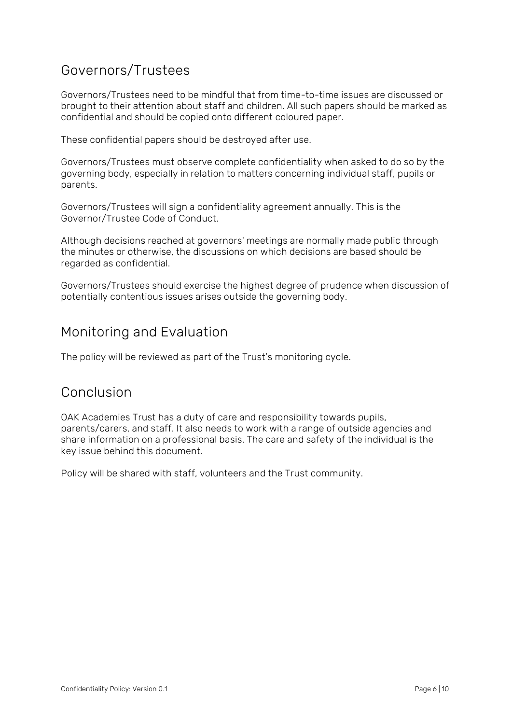# <span id="page-5-0"></span>Governors/Trustees

Governors/Trustees need to be mindful that from time-to-time issues are discussed or brought to their attention about staff and children. All such papers should be marked as confidential and should be copied onto different coloured paper.

These confidential papers should be destroyed after use.

Governors/Trustees must observe complete confidentiality when asked to do so by the governing body, especially in relation to matters concerning individual staff, pupils or parents.

Governors/Trustees will sign a confidentiality agreement annually. This is the Governor/Trustee Code of Conduct.

Although decisions reached at governors' meetings are normally made public through the minutes or otherwise, the discussions on which decisions are based should be regarded as confidential.

Governors/Trustees should exercise the highest degree of prudence when discussion of potentially contentious issues arises outside the governing body.

# <span id="page-5-1"></span>Monitoring and Evaluation

The policy will be reviewed as part of the Trust's monitoring cycle.

## <span id="page-5-2"></span>Conclusion

OAK Academies Trust has a duty of care and responsibility towards pupils, parents/carers, and staff. It also needs to work with a range of outside agencies and share information on a professional basis. The care and safety of the individual is the key issue behind this document.

Policy will be shared with staff, volunteers and the Trust community.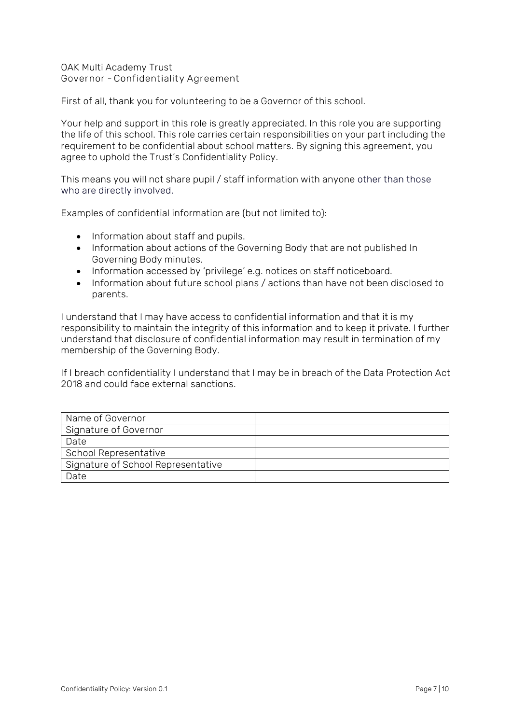OAK Multi Academy Trust **Governor - Confidentiality Agreement**

First of all, thank you for volunteering to be a Governor of this school.

Your help and support in this role is greatly appreciated. In this role you are supporting the life of this school. This role carries certain responsibilities on your part including the requirement to be confidential about school matters. By signing this agreement, you agree to uphold the Trust's Confidentiality Policy.

This means you will not share pupil / staff information with anyone other than those who are directly involved.

Examples of confidential information are (but not limited to):

- Information about staff and pupils.
- Information about actions of the Governing Body that are not published In Governing Body minutes.
- Information accessed by 'privilege' e.g. notices on staff noticeboard.
- Information about future school plans / actions than have not been disclosed to parents.

I understand that I may have access to confidential information and that it is my responsibility to maintain the integrity of this information and to keep it private. I further understand that disclosure of confidential information may result in termination of my membership of the Governing Body.

If I breach confidentiality I understand that I may be in breach of the Data Protection Act 2018 and could face external sanctions.

| Name of Governor                   |  |
|------------------------------------|--|
| Signature of Governor              |  |
| Date                               |  |
| School Representative              |  |
| Signature of School Representative |  |
| Date                               |  |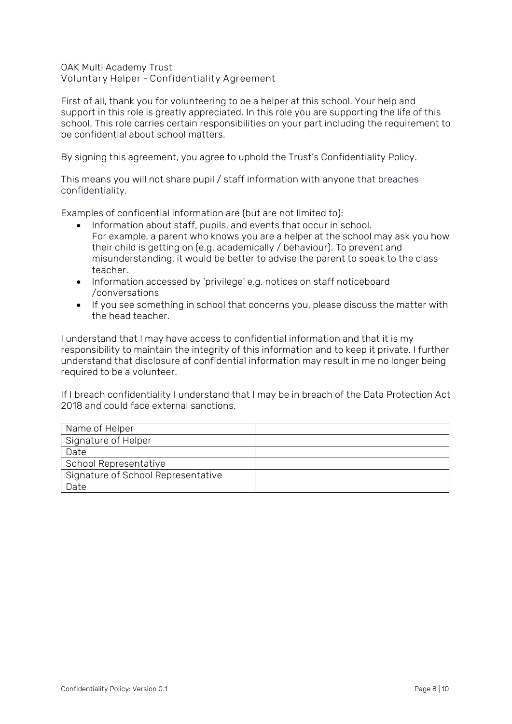OAK Multi Academy Trust **Voluntary Helper - Confidentiality Agreement**

First of all, thank you for volunteering to be a helper at this school. Your help and support in this role is greatly appreciated. In this role you are supporting the life of this school. This role carries certain responsibilities on your part including the requirement to be confidential about school matters.

By signing this agreement, you agree to uphold the Trust's Confidentiality Policy.

This means you will not share pupil / staff information with anyone that breaches confidentiality.

Examples of confidential information are (but are not limited to):

- Information about staff, pupils, and events that occur in school. For example, a parent who knows you are a helper at the school may ask you how their child is getting on (e.g. academically / behaviour). To prevent and misunderstanding, it would be better to advise the parent to speak to the class teacher.
- Information accessed by 'privilege' e.g. notices on staff noticeboard /conversations
- If you see something in school that concerns you, please discuss the matter with the head teacher.

I understand that I may have access to confidential information and that it is my responsibility to maintain the integrity of this information and to keep it private. I further understand that disclosure of confidential information may result in me no longer being required to be a volunteer.

If I breach confidentiality I understand that I may be in breach of the Data Protection Act 2018 and could face external sanctions.

| Name of Helper                     |  |
|------------------------------------|--|
| Signature of Helper                |  |
| Date                               |  |
| School Representative              |  |
| Signature of School Representative |  |
| Date                               |  |